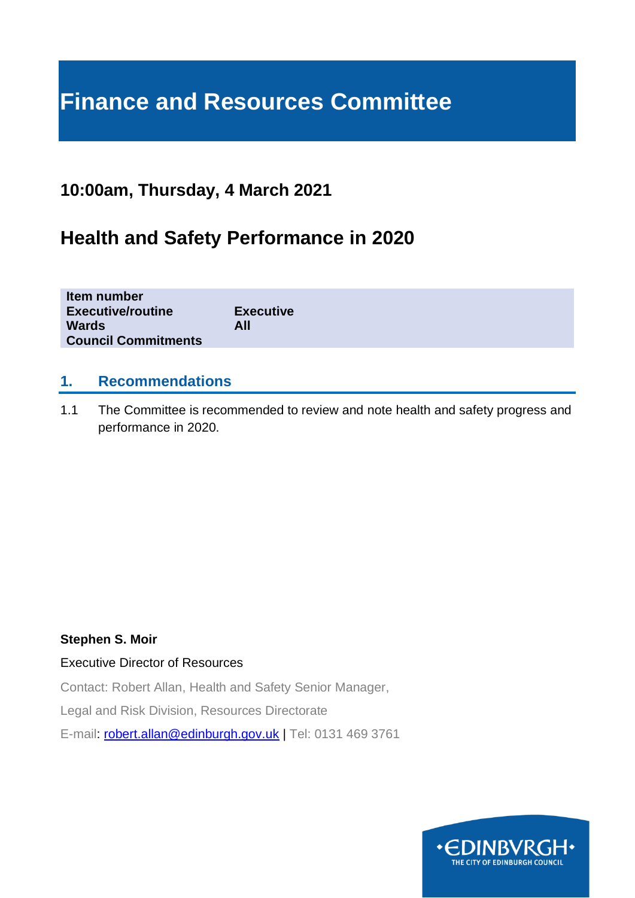# **Finance and Resources Committee**

# **10:00am, Thursday, 4 March 2021**

# **Health and Safety Performance in 2020**

| Item number<br><b>Executive/routine</b> | <b>Executive</b> |
|-----------------------------------------|------------------|
| <b>Wards</b>                            | All              |
| <b>Council Commitments</b>              |                  |

### **1. Recommendations**

1.1 The Committee is recommended to review and note health and safety progress and performance in 2020.

#### **Stephen S. Moir**

Executive Director of Resources

Contact: Robert Allan, Health and Safety Senior Manager,

Legal and Risk Division, Resources Directorate

E-mail: [robert.allan@edinburgh.gov.uk](mailto:robert.allan@edinburgh.gov.uk) | Tel: 0131 469 3761

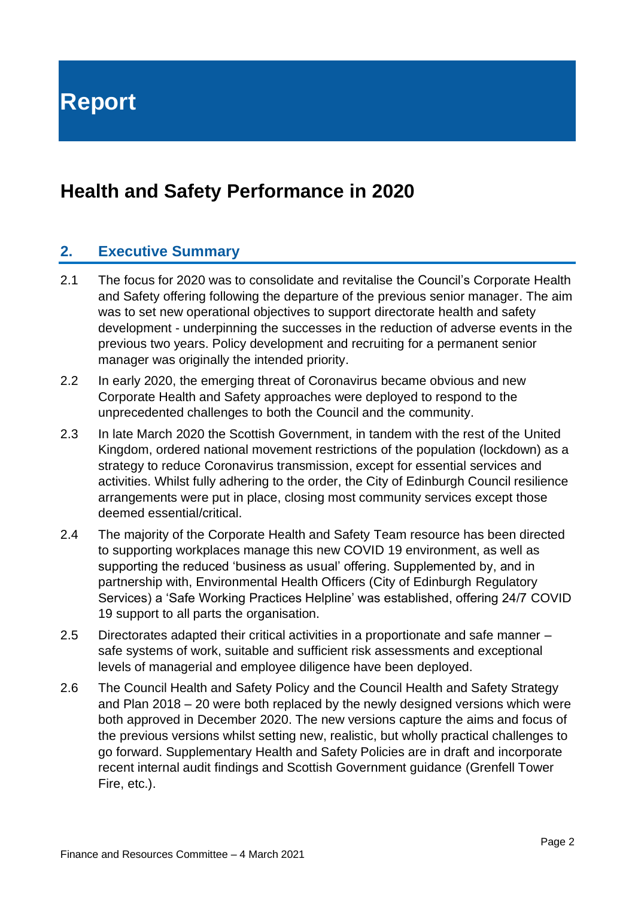**Report**

# **Health and Safety Performance in 2020**

# **2. Executive Summary**

- 2.1 The focus for 2020 was to consolidate and revitalise the Council's Corporate Health and Safety offering following the departure of the previous senior manager. The aim was to set new operational objectives to support directorate health and safety development - underpinning the successes in the reduction of adverse events in the previous two years. Policy development and recruiting for a permanent senior manager was originally the intended priority.
- 2.2 In early 2020, the emerging threat of Coronavirus became obvious and new Corporate Health and Safety approaches were deployed to respond to the unprecedented challenges to both the Council and the community.
- 2.3 In late March 2020 the Scottish Government, in tandem with the rest of the United Kingdom, ordered national movement restrictions of the population (lockdown) as a strategy to reduce Coronavirus transmission, except for essential services and activities. Whilst fully adhering to the order, the City of Edinburgh Council resilience arrangements were put in place, closing most community services except those deemed essential/critical.
- 2.4 The majority of the Corporate Health and Safety Team resource has been directed to supporting workplaces manage this new COVID 19 environment, as well as supporting the reduced 'business as usual' offering. Supplemented by, and in partnership with, Environmental Health Officers (City of Edinburgh Regulatory Services) a 'Safe Working Practices Helpline' was established, offering 24/7 COVID 19 support to all parts the organisation.
- 2.5 Directorates adapted their critical activities in a proportionate and safe manner safe systems of work, suitable and sufficient risk assessments and exceptional levels of managerial and employee diligence have been deployed.
- 2.6 The Council Health and Safety Policy and the Council Health and Safety Strategy and Plan 2018 – 20 were both replaced by the newly designed versions which were both approved in December 2020. The new versions capture the aims and focus of the previous versions whilst setting new, realistic, but wholly practical challenges to go forward. Supplementary Health and Safety Policies are in draft and incorporate recent internal audit findings and Scottish Government guidance (Grenfell Tower Fire, etc.).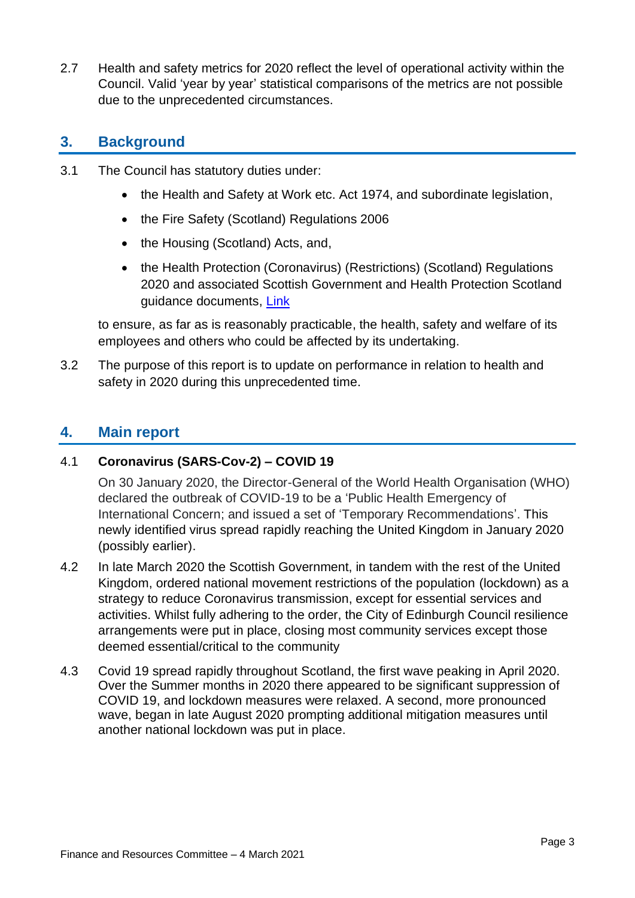2.7 Health and safety metrics for 2020 reflect the level of operational activity within the Council. Valid 'year by year' statistical comparisons of the metrics are not possible due to the unprecedented circumstances.

# **3. Background**

- 3.1 The Council has statutory duties under:
	- the Health and Safety at Work etc. Act 1974, and subordinate legislation,
	- the Fire Safety (Scotland) Regulations 2006
	- the Housing (Scotland) Acts, and,
	- the Health Protection (Coronavirus) (Restrictions) (Scotland) Regulations 2020 and associated Scottish Government and Health Protection Scotland guidance documents, [Link](https://www.legislation.gov.uk/ssi/2020/279/contents/made)

to ensure, as far as is reasonably practicable, the health, safety and welfare of its employees and others who could be affected by its undertaking.

3.2 The purpose of this report is to update on performance in relation to health and safety in 2020 during this unprecedented time.

# **4. Main report**

#### 4.1 **Coronavirus (SARS-Cov-2) – COVID 19**

On 30 January 2020, the Director-General of the World Health Organisation (WHO) declared the outbreak of COVID-19 to be a 'Public Health Emergency of International Concern; and issued a set of 'Temporary Recommendations'. This newly identified virus spread rapidly reaching the United Kingdom in January 2020 (possibly earlier).

- 4.2 In late March 2020 the Scottish Government, in tandem with the rest of the United Kingdom, ordered national movement restrictions of the population (lockdown) as a strategy to reduce Coronavirus transmission, except for essential services and activities. Whilst fully adhering to the order, the City of Edinburgh Council resilience arrangements were put in place, closing most community services except those deemed essential/critical to the community
- 4.3 Covid 19 spread rapidly throughout Scotland, the first wave peaking in April 2020. Over the Summer months in 2020 there appeared to be significant suppression of COVID 19, and lockdown measures were relaxed. A second, more pronounced wave, began in late August 2020 prompting additional mitigation measures until another national lockdown was put in place.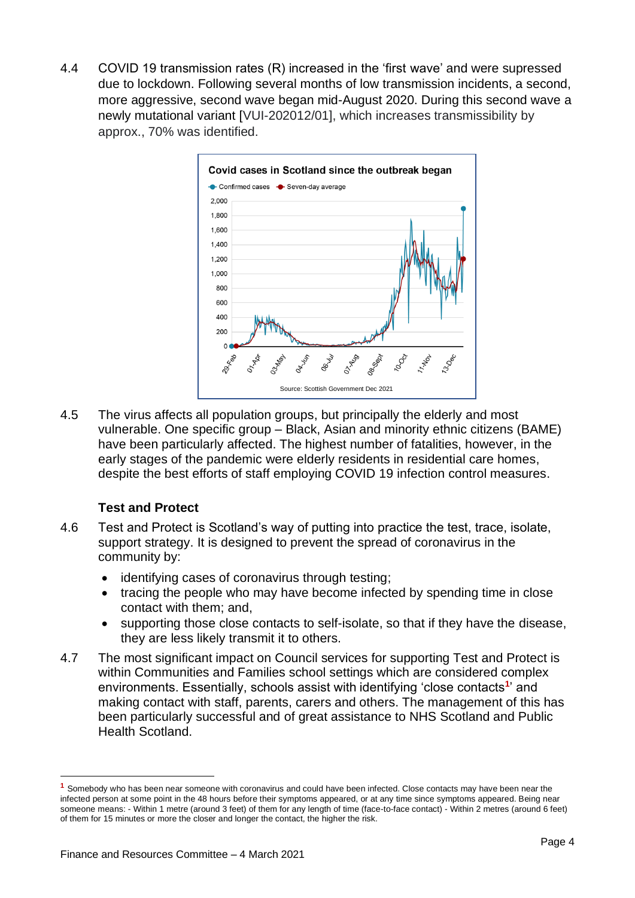4.4 COVID 19 transmission rates (R) increased in the 'first wave' and were supressed due to lockdown. Following several months of low transmission incidents, a second, more aggressive, second wave began mid-August 2020. During this second wave a newly mutational variant [VUI-202012/01], which increases transmissibility by approx., 70% was identified.



4.5 The virus affects all population groups, but principally the elderly and most vulnerable. One specific group – Black, Asian and minority ethnic citizens (BAME) have been particularly affected. The highest number of fatalities, however, in the early stages of the pandemic were elderly residents in residential care homes, despite the best efforts of staff employing COVID 19 infection control measures.

#### **Test and Protect**

- 4.6 Test and Protect is Scotland's way of putting into practice the test, trace, isolate, support strategy. It is designed to prevent the spread of coronavirus in the community by:
	- identifying cases of coronavirus through testing;
	- tracing the people who may have become infected by spending time in close contact with them; and,
	- supporting those close contacts to self-isolate, so that if they have the disease, they are less likely transmit it to others.
- 4.7 The most significant impact on Council services for supporting Test and Protect is within Communities and Families school settings which are considered complex environments. Essentially, schools assist with identifying 'close contacts<sup>1</sup>' and making contact with staff, parents, carers and others. The management of this has been particularly successful and of great assistance to NHS Scotland and Public Health Scotland.

**<sup>1</sup>** Somebody who has been near someone with coronavirus and could have been infected. Close contacts may have been near the infected person at some point in the 48 hours before their symptoms appeared, or at any time since symptoms appeared. Being near someone means: - Within 1 metre (around 3 feet) of them for any length of time (face-to-face contact) - Within 2 metres (around 6 feet) of them for 15 minutes or more the closer and longer the contact, the higher the risk.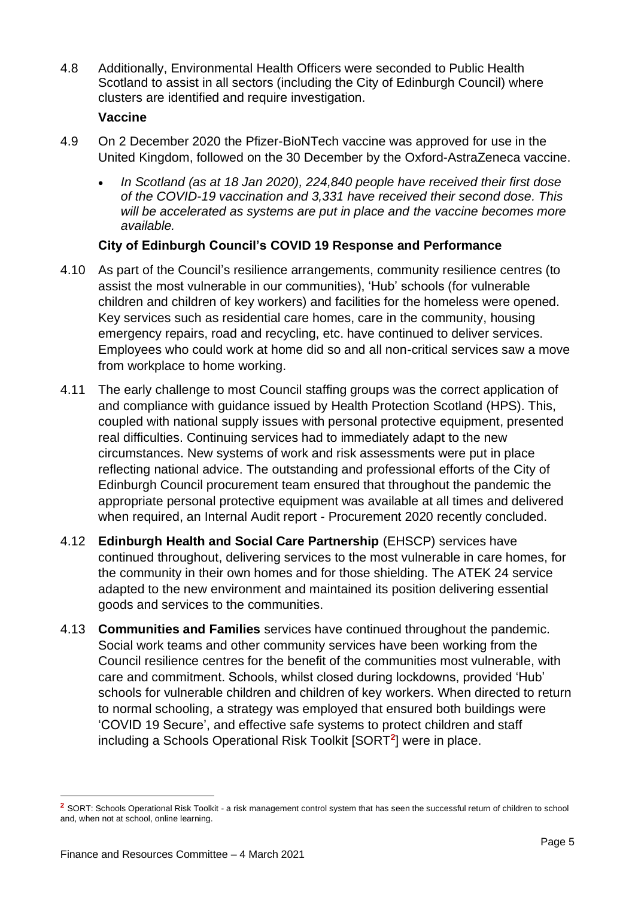4.8 Additionally, Environmental Health Officers were seconded to Public Health Scotland to assist in all sectors (including the City of Edinburgh Council) where clusters are identified and require investigation.

#### **Vaccine**

- 4.9 On 2 December 2020 the Pfizer-BioNTech vaccine was approved for use in the United Kingdom, followed on the 30 December by the Oxford-AstraZeneca vaccine.
	- *In Scotland (as at 18 Jan 2020), 224,840 people have received their first dose of the COVID-19 vaccination and 3,331 have received their second dose. This will be accelerated as systems are put in place and the vaccine becomes more available.*

#### **City of Edinburgh Council's COVID 19 Response and Performance**

- 4.10 As part of the Council's resilience arrangements, community resilience centres (to assist the most vulnerable in our communities), 'Hub' schools (for vulnerable children and children of key workers) and facilities for the homeless were opened. Key services such as residential care homes, care in the community, housing emergency repairs, road and recycling, etc. have continued to deliver services. Employees who could work at home did so and all non-critical services saw a move from workplace to home working.
- 4.11 The early challenge to most Council staffing groups was the correct application of and compliance with guidance issued by Health Protection Scotland (HPS). This, coupled with national supply issues with personal protective equipment, presented real difficulties. Continuing services had to immediately adapt to the new circumstances. New systems of work and risk assessments were put in place reflecting national advice. The outstanding and professional efforts of the City of Edinburgh Council procurement team ensured that throughout the pandemic the appropriate personal protective equipment was available at all times and delivered when required, an Internal Audit report - Procurement 2020 recently concluded.
- 4.12 **Edinburgh Health and Social Care Partnership** (EHSCP) services have continued throughout, delivering services to the most vulnerable in care homes, for the community in their own homes and for those shielding. The ATEK 24 service adapted to the new environment and maintained its position delivering essential goods and services to the communities.
- 4.13 **Communities and Families** services have continued throughout the pandemic. Social work teams and other community services have been working from the Council resilience centres for the benefit of the communities most vulnerable, with care and commitment. Schools, whilst closed during lockdowns, provided 'Hub' schools for vulnerable children and children of key workers. When directed to return to normal schooling, a strategy was employed that ensured both buildings were 'COVID 19 Secure', and effective safe systems to protect children and staff including a Schools Operational Risk Toolkit [SORT**<sup>2</sup>** ] were in place.

<sup>&</sup>lt;sup>2</sup> SORT: Schools Operational Risk Toolkit - a risk management control system that has seen the successful return of children to school and, when not at school, online learning.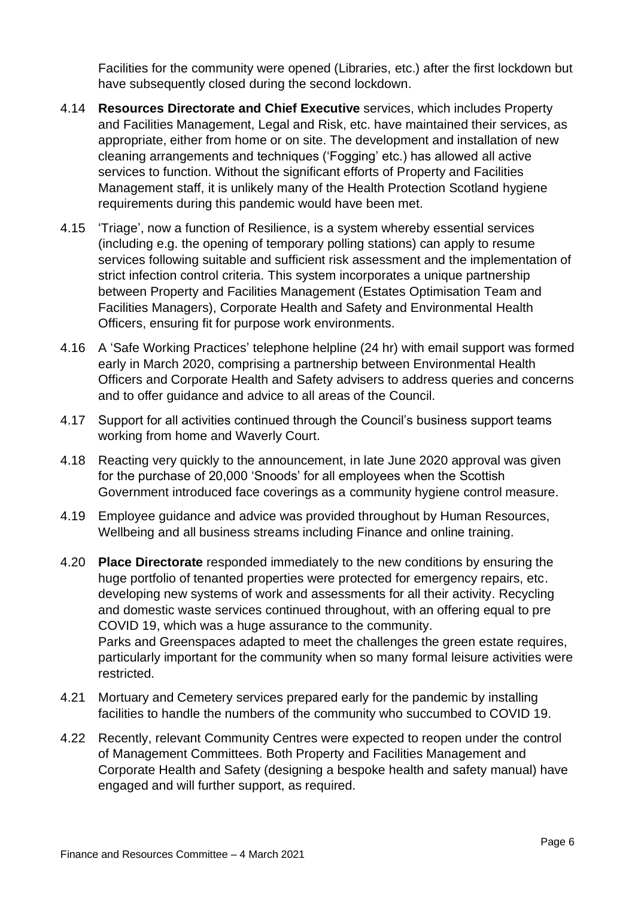Facilities for the community were opened (Libraries, etc.) after the first lockdown but have subsequently closed during the second lockdown.

- 4.14 **Resources Directorate and Chief Executive** services, which includes Property and Facilities Management, Legal and Risk, etc. have maintained their services, as appropriate, either from home or on site. The development and installation of new cleaning arrangements and techniques ('Fogging' etc.) has allowed all active services to function. Without the significant efforts of Property and Facilities Management staff, it is unlikely many of the Health Protection Scotland hygiene requirements during this pandemic would have been met.
- 4.15 'Triage', now a function of Resilience, is a system whereby essential services (including e.g. the opening of temporary polling stations) can apply to resume services following suitable and sufficient risk assessment and the implementation of strict infection control criteria. This system incorporates a unique partnership between Property and Facilities Management (Estates Optimisation Team and Facilities Managers), Corporate Health and Safety and Environmental Health Officers, ensuring fit for purpose work environments.
- 4.16 A 'Safe Working Practices' telephone helpline (24 hr) with email support was formed early in March 2020, comprising a partnership between Environmental Health Officers and Corporate Health and Safety advisers to address queries and concerns and to offer guidance and advice to all areas of the Council.
- 4.17 Support for all activities continued through the Council's business support teams working from home and Waverly Court.
- 4.18 Reacting very quickly to the announcement, in late June 2020 approval was given for the purchase of 20,000 'Snoods' for all employees when the Scottish Government introduced face coverings as a community hygiene control measure.
- 4.19 Employee guidance and advice was provided throughout by Human Resources, Wellbeing and all business streams including Finance and online training.
- 4.20 **Place Directorate** responded immediately to the new conditions by ensuring the huge portfolio of tenanted properties were protected for emergency repairs, etc. developing new systems of work and assessments for all their activity. Recycling and domestic waste services continued throughout, with an offering equal to pre COVID 19, which was a huge assurance to the community. Parks and Greenspaces adapted to meet the challenges the green estate requires, particularly important for the community when so many formal leisure activities were restricted.
- 4.21 Mortuary and Cemetery services prepared early for the pandemic by installing facilities to handle the numbers of the community who succumbed to COVID 19.
- 4.22 Recently, relevant Community Centres were expected to reopen under the control of Management Committees. Both Property and Facilities Management and Corporate Health and Safety (designing a bespoke health and safety manual) have engaged and will further support, as required.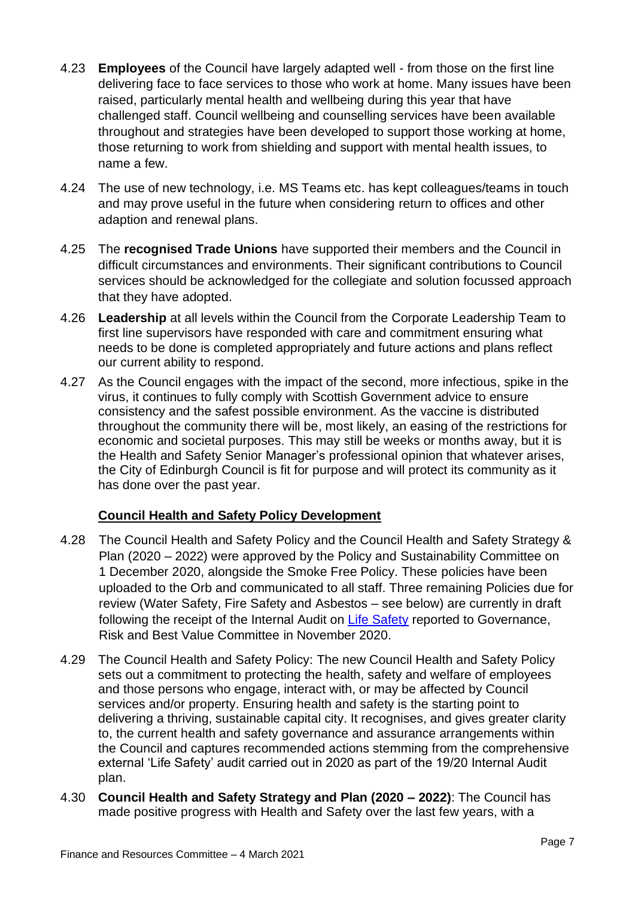- 4.23 **Employees** of the Council have largely adapted well from those on the first line delivering face to face services to those who work at home. Many issues have been raised, particularly mental health and wellbeing during this year that have challenged staff. Council wellbeing and counselling services have been available throughout and strategies have been developed to support those working at home, those returning to work from shielding and support with mental health issues, to name a few.
- 4.24 The use of new technology, i.e. MS Teams etc. has kept colleagues/teams in touch and may prove useful in the future when considering return to offices and other adaption and renewal plans.
- 4.25 The **recognised Trade Unions** have supported their members and the Council in difficult circumstances and environments. Their significant contributions to Council services should be acknowledged for the collegiate and solution focussed approach that they have adopted.
- 4.26 **Leadership** at all levels within the Council from the Corporate Leadership Team to first line supervisors have responded with care and commitment ensuring what needs to be done is completed appropriately and future actions and plans reflect our current ability to respond.
- 4.27 As the Council engages with the impact of the second, more infectious, spike in the virus, it continues to fully comply with Scottish Government advice to ensure consistency and the safest possible environment. As the vaccine is distributed throughout the community there will be, most likely, an easing of the restrictions for economic and societal purposes. This may still be weeks or months away, but it is the Health and Safety Senior Manager's professional opinion that whatever arises, the City of Edinburgh Council is fit for purpose and will protect its community as it has done over the past year.

#### **Council Health and Safety Policy Development**

- 4.28 The Council Health and Safety Policy and the Council Health and Safety Strategy & Plan (2020 – 2022) were approved by the Policy and Sustainability Committee on 1 December 2020, alongside the Smoke Free Policy. These policies have been uploaded to the Orb and communicated to all staff. Three remaining Policies due for review (Water Safety, Fire Safety and Asbestos – see below) are currently in draft following the receipt of the Internal Audit on Life [Safety](https://democracy.edinburgh.gov.uk/documents/s28431/8.1%20-%20Final%20IA%20reports%20supporting%20the%202019-20%20Opinion.pdf) reported to Governance, Risk and Best Value Committee in November 2020.
- 4.29 The Council Health and Safety Policy: The new Council Health and Safety Policy sets out a commitment to protecting the health, safety and welfare of employees and those persons who engage, interact with, or may be affected by Council services and/or property. Ensuring health and safety is the starting point to delivering a thriving, sustainable capital city. It recognises, and gives greater clarity to, the current health and safety governance and assurance arrangements within the Council and captures recommended actions stemming from the comprehensive external 'Life Safety' audit carried out in 2020 as part of the 19/20 Internal Audit plan.
- 4.30 **Council Health and Safety Strategy and Plan (2020 – 2022)**: The Council has made positive progress with Health and Safety over the last few years, with a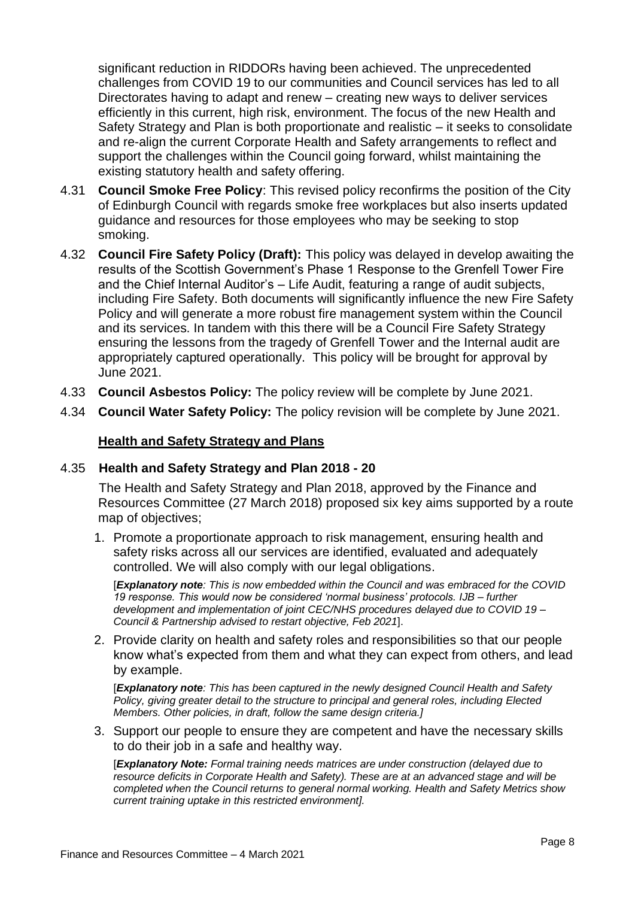significant reduction in RIDDORs having been achieved. The unprecedented challenges from COVID 19 to our communities and Council services has led to all Directorates having to adapt and renew – creating new ways to deliver services efficiently in this current, high risk, environment. The focus of the new Health and Safety Strategy and Plan is both proportionate and realistic – it seeks to consolidate and re-align the current Corporate Health and Safety arrangements to reflect and support the challenges within the Council going forward, whilst maintaining the existing statutory health and safety offering.

- 4.31 **Council Smoke Free Policy**: This revised policy reconfirms the position of the City of Edinburgh Council with regards smoke free workplaces but also inserts updated guidance and resources for those employees who may be seeking to stop smoking.
- 4.32 **Council Fire Safety Policy (Draft):** This policy was delayed in develop awaiting the results of the Scottish Government's Phase 1 Response to the Grenfell Tower Fire and the Chief Internal Auditor's – Life Audit, featuring a range of audit subjects, including Fire Safety. Both documents will significantly influence the new Fire Safety Policy and will generate a more robust fire management system within the Council and its services. In tandem with this there will be a Council Fire Safety Strategy ensuring the lessons from the tragedy of Grenfell Tower and the Internal audit are appropriately captured operationally. This policy will be brought for approval by June 2021.
- 4.33 **Council Asbestos Policy:** The policy review will be complete by June 2021.
- 4.34 **Council Water Safety Policy:** The policy revision will be complete by June 2021.

#### **Health and Safety Strategy and Plans**

#### 4.35 **Health and Safety Strategy and Plan 2018 - 20**

The Health and Safety Strategy and Plan 2018, approved by the Finance and Resources Committee (27 March 2018) proposed six key aims supported by a route map of objectives;

1. Promote a proportionate approach to risk management, ensuring health and safety risks across all our services are identified, evaluated and adequately controlled. We will also comply with our legal obligations.

[*Explanatory note: This is now embedded within the Council and was embraced for the COVID 19 response. This would now be considered 'normal business' protocols. IJB – further development and implementation of joint CEC/NHS procedures delayed due to COVID 19 – Council & Partnership advised to restart objective, Feb 2021*].

2. Provide clarity on health and safety roles and responsibilities so that our people know what's expected from them and what they can expect from others, and lead by example.

[*Explanatory note: This has been captured in the newly designed Council Health and Safety Policy, giving greater detail to the structure to principal and general roles, including Elected Members. Other policies, in draft, follow the same design criteria.]*

3. Support our people to ensure they are competent and have the necessary skills to do their job in a safe and healthy way.

[*Explanatory Note: Formal training needs matrices are under construction (delayed due to resource deficits in Corporate Health and Safety). These are at an advanced stage and will be completed when the Council returns to general normal working. Health and Safety Metrics show current training uptake in this restricted environment].*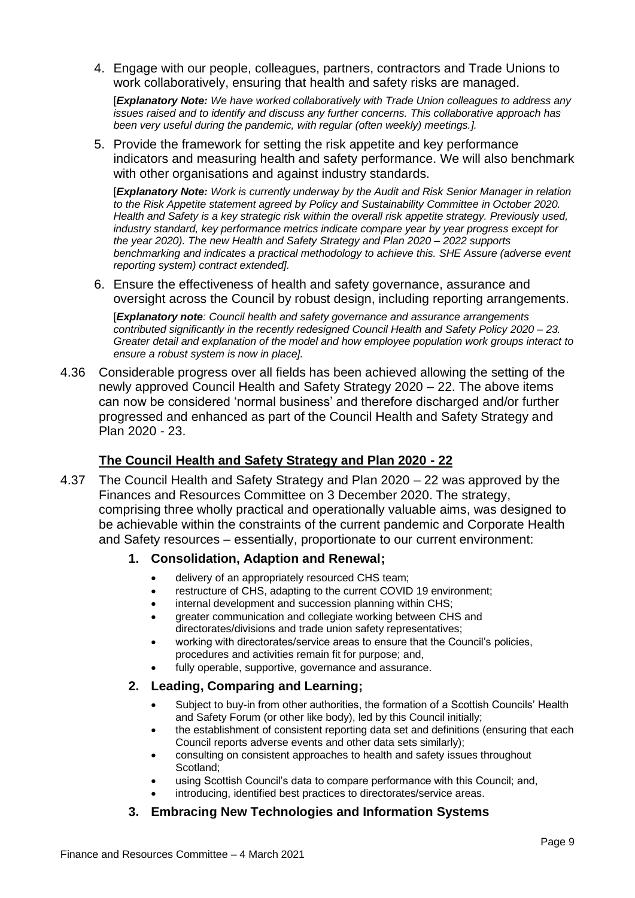4. Engage with our people, colleagues, partners, contractors and Trade Unions to work collaboratively, ensuring that health and safety risks are managed.

[*Explanatory Note: We have worked collaboratively with Trade Union colleagues to address any issues raised and to identify and discuss any further concerns. This collaborative approach has been very useful during the pandemic, with regular (often weekly) meetings.].*

5. Provide the framework for setting the risk appetite and key performance indicators and measuring health and safety performance. We will also benchmark with other organisations and against industry standards.

[*Explanatory Note: Work is currently underway by the Audit and Risk Senior Manager in relation to the Risk Appetite statement agreed by Policy and Sustainability Committee in October 2020. Health and Safety is a key strategic risk within the overall risk appetite strategy. Previously used, industry standard, key performance metrics indicate compare year by year progress except for the year 2020). The new Health and Safety Strategy and Plan 2020 – 2022 supports benchmarking and indicates a practical methodology to achieve this. SHE Assure (adverse event reporting system) contract extended].*

6. Ensure the effectiveness of health and safety governance, assurance and oversight across the Council by robust design, including reporting arrangements.

[*Explanatory note: Council health and safety governance and assurance arrangements contributed significantly in the recently redesigned Council Health and Safety Policy 2020 – 23. Greater detail and explanation of the model and how employee population work groups interact to ensure a robust system is now in place].* 

4.36 Considerable progress over all fields has been achieved allowing the setting of the newly approved Council Health and Safety Strategy 2020 – 22. The above items can now be considered 'normal business' and therefore discharged and/or further progressed and enhanced as part of the Council Health and Safety Strategy and Plan 2020 - 23.

#### **The Council Health and Safety Strategy and Plan 2020 - 22**

4.37 The Council Health and Safety Strategy and Plan 2020 – 22 was approved by the Finances and Resources Committee on 3 December 2020. The strategy, comprising three wholly practical and operationally valuable aims, was designed to be achievable within the constraints of the current pandemic and Corporate Health and Safety resources – essentially, proportionate to our current environment:

#### **1. Consolidation, Adaption and Renewal;**

- delivery of an appropriately resourced CHS team;
- restructure of CHS, adapting to the current COVID 19 environment;
- internal development and succession planning within CHS;
- greater communication and collegiate working between CHS and directorates/divisions and trade union safety representatives;
- working with directorates/service areas to ensure that the Council's policies, procedures and activities remain fit for purpose; and,
- fully operable, supportive, governance and assurance.

#### **2. Leading, Comparing and Learning;**

- Subject to buy-in from other authorities, the formation of a Scottish Councils' Health and Safety Forum (or other like body), led by this Council initially;
- the establishment of consistent reporting data set and definitions (ensuring that each Council reports adverse events and other data sets similarly);
- consulting on consistent approaches to health and safety issues throughout Scotland;
- using Scottish Council's data to compare performance with this Council; and,
- introducing, identified best practices to directorates/service areas.

#### **3. Embracing New Technologies and Information Systems**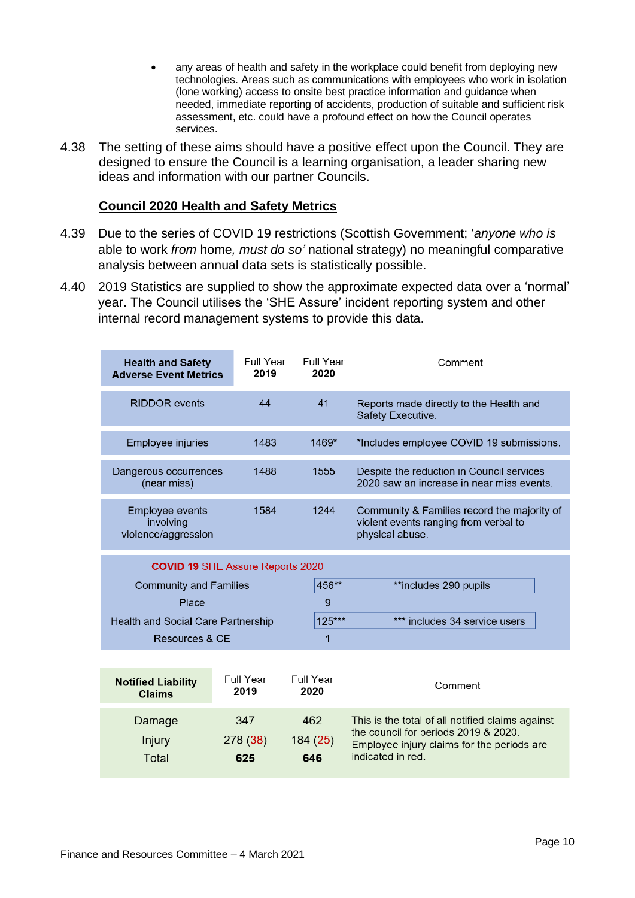- any areas of health and safety in the workplace could benefit from deploying new technologies. Areas such as communications with employees who work in isolation (lone working) access to onsite best practice information and guidance when needed, immediate reporting of accidents, production of suitable and sufficient risk assessment, etc. could have a profound effect on how the Council operates services.
- 4.38 The setting of these aims should have a positive effect upon the Council. They are designed to ensure the Council is a learning organisation, a leader sharing new ideas and information with our partner Councils.

#### **Council 2020 Health and Safety Metrics**

- 4.39 Due to the series of COVID 19 restrictions (Scottish Government; '*anyone who is*  able to work *from* home*, must do so'* national strategy) no meaningful comparative analysis between annual data sets is statistically possible.
- 4.40 2019 Statistics are supplied to show the approximate expected data over a 'normal' year. The Council utilises the 'SHE Assure' incident reporting system and other internal record management systems to provide this data.

| <b>Health and Safety</b><br><b>Adverse Event Metrics</b>   | Full Year<br>2019 | Full Year<br>2020 | Comment                                                                                                 |  |  |
|------------------------------------------------------------|-------------------|-------------------|---------------------------------------------------------------------------------------------------------|--|--|
| <b>RIDDOR</b> events                                       | 44                | 41                | Reports made directly to the Health and<br>Safety Executive.                                            |  |  |
| <b>Employee injuries</b>                                   | 1483              | $1469*$           | *Includes employee COVID 19 submissions.                                                                |  |  |
| Dangerous occurrences<br>(near miss)                       | 1488              | 1555              | Despite the reduction in Council services<br>2020 saw an increase in near miss events.                  |  |  |
| <b>Employee events</b><br>involving<br>violence/aggression | 1584              | 1244              | Community & Families record the majority of<br>violent events ranging from verbal to<br>physical abuse. |  |  |
| <b>COVID 19 SHE Assure Reports 2020</b>                    |                   |                   |                                                                                                         |  |  |
| <b>Community and Families</b>                              |                   | 456**             | **includes 290 pupils                                                                                   |  |  |
| Place                                                      |                   | 9                 |                                                                                                         |  |  |
| Health and Social Care Partnership                         |                   | 125***            | *** includes 34 service users                                                                           |  |  |
| Resources & CF                                             |                   | 1                 |                                                                                                         |  |  |
|                                                            |                   |                   |                                                                                                         |  |  |
| <b>Notified Liability</b>                                  | Full Year         | <b>Full Year</b>  | Comment                                                                                                 |  |  |

| <b>Notified Liability</b> | <b>Full Year</b>      | Full Year             | Comment                                                                                                                                                     |
|---------------------------|-----------------------|-----------------------|-------------------------------------------------------------------------------------------------------------------------------------------------------------|
| <b>Claims</b>             | 2019                  | 2020                  |                                                                                                                                                             |
| Damage<br>Injury<br>Total | 347<br>278(38)<br>625 | 462<br>184(25)<br>646 | This is the total of all notified claims against<br>the council for periods 2019 & 2020.<br>Employee injury claims for the periods are<br>indicated in red. |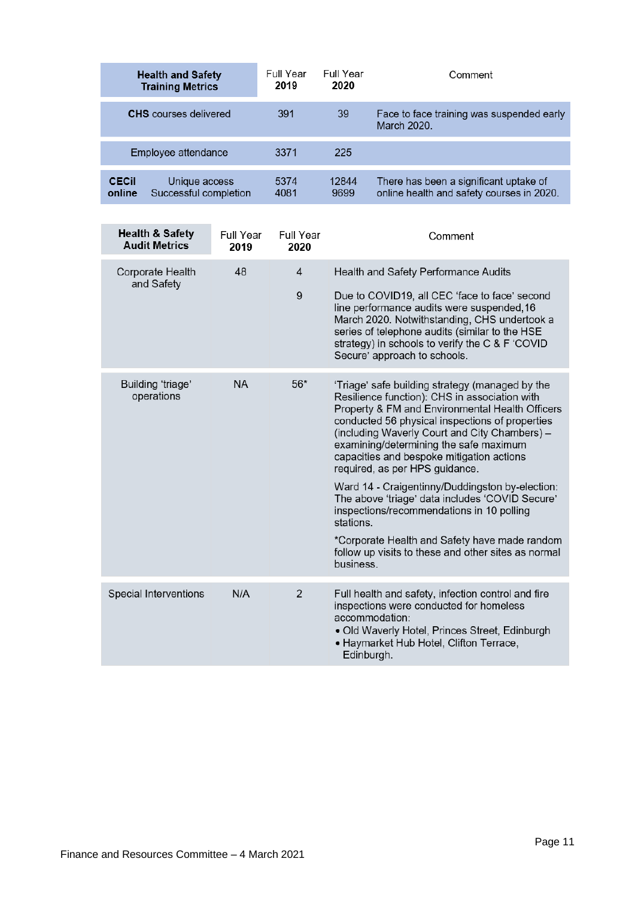|                         | <b>Health and Safety</b><br><b>Training Metrics</b> | Full Year<br>2019 | Full Year<br>2020 | Comment                                                                             |
|-------------------------|-----------------------------------------------------|-------------------|-------------------|-------------------------------------------------------------------------------------|
|                         | <b>CHS</b> courses delivered                        | 391               | 39                | Face to face training was suspended early<br>March 2020.                            |
|                         | Employee attendance                                 | 3371              | 225               |                                                                                     |
| <b>CEC</b> il<br>online | Unique access<br>Successful completion              | 5374<br>4081      | 12844<br>9699     | There has been a significant uptake of<br>online health and safety courses in 2020. |

| <b>Health &amp; Safety</b><br><b>Audit Metrics</b> | <b>Full Year</b><br>2019 | Full Year<br>2020 | Comment                                                                                                                                                                                                                                                                                                                                                                                                                                                                                                                                                                                                                                                               |
|----------------------------------------------------|--------------------------|-------------------|-----------------------------------------------------------------------------------------------------------------------------------------------------------------------------------------------------------------------------------------------------------------------------------------------------------------------------------------------------------------------------------------------------------------------------------------------------------------------------------------------------------------------------------------------------------------------------------------------------------------------------------------------------------------------|
| Corporate Health<br>and Safety                     | 48                       | 4<br>9            | <b>Health and Safety Performance Audits</b><br>Due to COVID19, all CEC 'face to face' second<br>line performance audits were suspended, 16<br>March 2020. Notwithstanding, CHS undertook a<br>series of telephone audits (similar to the HSE<br>strategy) in schools to verify the C & F 'COVID<br>Secure' approach to schools.                                                                                                                                                                                                                                                                                                                                       |
| Building 'triage'<br>operations                    | <b>NA</b>                | $56*$             | 'Triage' safe building strategy (managed by the<br>Resilience function): CHS in association with<br>Property & FM and Environmental Health Officers<br>conducted 56 physical inspections of properties<br>(including Waverly Court and City Chambers) -<br>examining/determining the safe maximum<br>capacities and bespoke mitigation actions<br>required, as per HPS guidance.<br>Ward 14 - Craigentinny/Duddingston by-election:<br>The above 'triage' data includes 'COVID Secure'<br>inspections/recommendations in 10 polling<br>stations.<br>*Corporate Health and Safety have made random<br>follow up visits to these and other sites as normal<br>business. |
| <b>Special Interventions</b>                       | N/A                      | $\overline{2}$    | Full health and safety, infection control and fire<br>inspections were conducted for homeless<br>accommodation:<br>• Old Waverly Hotel, Princes Street, Edinburgh<br>• Haymarket Hub Hotel, Clifton Terrace,<br>Edinburgh.                                                                                                                                                                                                                                                                                                                                                                                                                                            |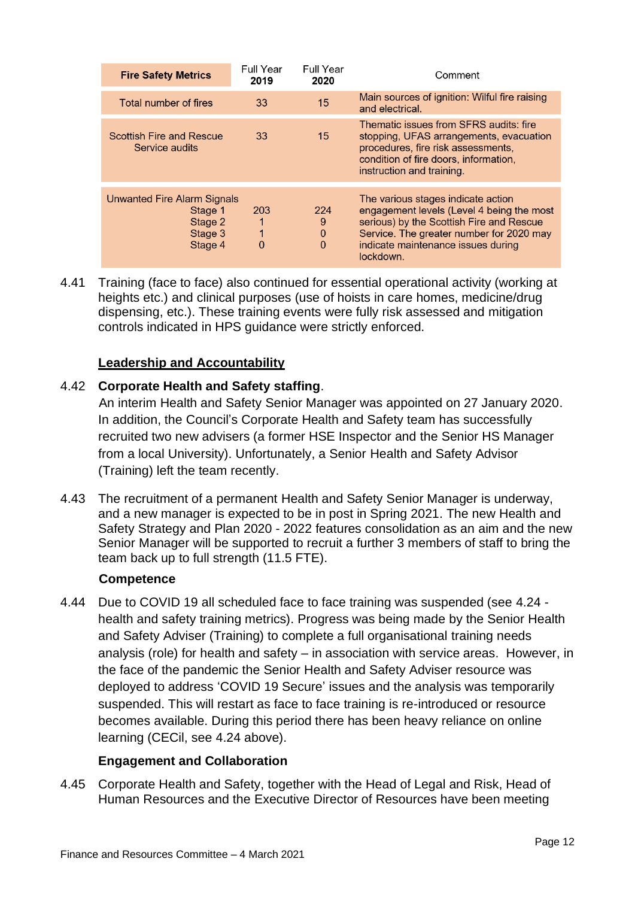| <b>Fire Safety Metrics</b>                                                     | <b>Full Year</b><br>2019 | <b>Full Year</b><br>2020            | Comment                                                                                                                                                                                                                    |
|--------------------------------------------------------------------------------|--------------------------|-------------------------------------|----------------------------------------------------------------------------------------------------------------------------------------------------------------------------------------------------------------------------|
| Total number of fires                                                          | 33                       | 15                                  | Main sources of ignition: Wilful fire raising<br>and electrical.                                                                                                                                                           |
| <b>Scottish Fire and Rescue</b><br>Service audits                              | 33                       | 15                                  | Thematic issues from SFRS audits: fire<br>stopping, UFAS arrangements, evacuation<br>procedures, fire risk assessments,<br>condition of fire doors, information,<br>instruction and training.                              |
| <b>Unwanted Fire Alarm Signals</b><br>Stage 1<br>Stage 2<br>Stage 3<br>Stage 4 | 203<br>1<br>0            | 224<br>9<br>$\Omega$<br>$\mathbf 0$ | The various stages indicate action<br>engagement levels (Level 4 being the most<br>serious) by the Scottish Fire and Rescue<br>Service. The greater number for 2020 may<br>indicate maintenance issues during<br>lockdown. |

4.41 Training (face to face) also continued for essential operational activity (working at heights etc.) and clinical purposes (use of hoists in care homes, medicine/drug dispensing, etc.). These training events were fully risk assessed and mitigation controls indicated in HPS guidance were strictly enforced.

#### **Leadership and Accountability**

#### 4.42 **Corporate Health and Safety staffing**.

An interim Health and Safety Senior Manager was appointed on 27 January 2020. In addition, the Council's Corporate Health and Safety team has successfully recruited two new advisers (a former HSE Inspector and the Senior HS Manager from a local University). Unfortunately, a Senior Health and Safety Advisor (Training) left the team recently.

4.43 The recruitment of a permanent Health and Safety Senior Manager is underway, and a new manager is expected to be in post in Spring 2021. The new Health and Safety Strategy and Plan 2020 - 2022 features consolidation as an aim and the new Senior Manager will be supported to recruit a further 3 members of staff to bring the team back up to full strength (11.5 FTE).

#### **Competence**

4.44 Due to COVID 19 all scheduled face to face training was suspended (see 4.24 health and safety training metrics). Progress was being made by the Senior Health and Safety Adviser (Training) to complete a full organisational training needs analysis (role) for health and safety – in association with service areas. However, in the face of the pandemic the Senior Health and Safety Adviser resource was deployed to address 'COVID 19 Secure' issues and the analysis was temporarily suspended. This will restart as face to face training is re-introduced or resource becomes available. During this period there has been heavy reliance on online learning (CECil, see 4.24 above).

#### **Engagement and Collaboration**

4.45 Corporate Health and Safety, together with the Head of Legal and Risk, Head of Human Resources and the Executive Director of Resources have been meeting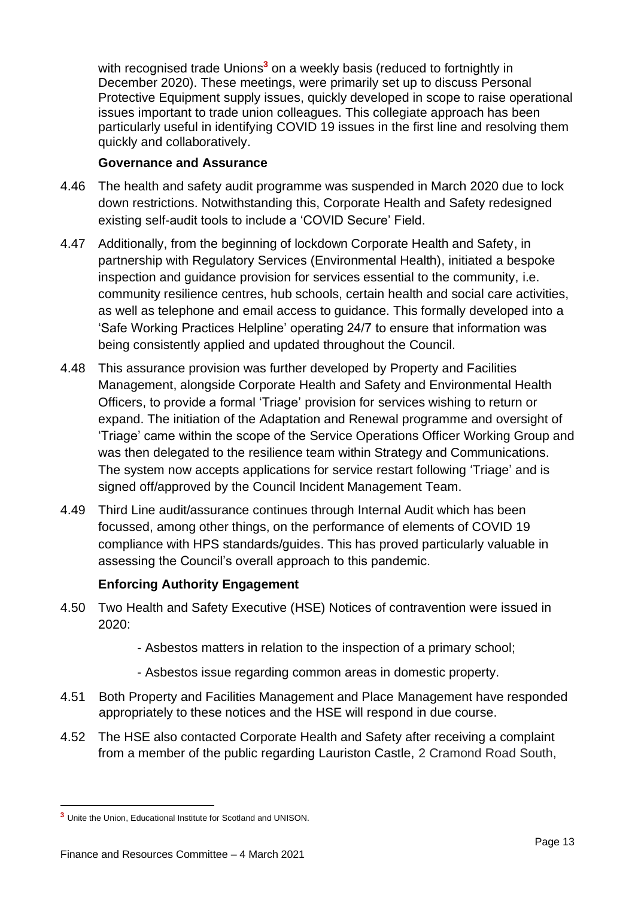with recognised trade Unions<sup>3</sup> on a weekly basis (reduced to fortnightly in December 2020). These meetings, were primarily set up to discuss Personal Protective Equipment supply issues, quickly developed in scope to raise operational issues important to trade union colleagues. This collegiate approach has been particularly useful in identifying COVID 19 issues in the first line and resolving them quickly and collaboratively.

#### **Governance and Assurance**

- 4.46 The health and safety audit programme was suspended in March 2020 due to lock down restrictions. Notwithstanding this, Corporate Health and Safety redesigned existing self-audit tools to include a 'COVID Secure' Field.
- 4.47 Additionally, from the beginning of lockdown Corporate Health and Safety, in partnership with Regulatory Services (Environmental Health), initiated a bespoke inspection and guidance provision for services essential to the community, i.e. community resilience centres, hub schools, certain health and social care activities, as well as telephone and email access to guidance. This formally developed into a 'Safe Working Practices Helpline' operating 24/7 to ensure that information was being consistently applied and updated throughout the Council.
- 4.48 This assurance provision was further developed by Property and Facilities Management, alongside Corporate Health and Safety and Environmental Health Officers, to provide a formal 'Triage' provision for services wishing to return or expand. The initiation of the Adaptation and Renewal programme and oversight of 'Triage' came within the scope of the Service Operations Officer Working Group and was then delegated to the resilience team within Strategy and Communications. The system now accepts applications for service restart following 'Triage' and is signed off/approved by the Council Incident Management Team.
- 4.49 Third Line audit/assurance continues through Internal Audit which has been focussed, among other things, on the performance of elements of COVID 19 compliance with HPS standards/guides. This has proved particularly valuable in assessing the Council's overall approach to this pandemic.

#### **Enforcing Authority Engagement**

- 4.50 Two Health and Safety Executive (HSE) Notices of contravention were issued in 2020:
	- Asbestos matters in relation to the inspection of a primary school;
	- Asbestos issue regarding common areas in domestic property.
- 4.51 Both Property and Facilities Management and Place Management have responded appropriately to these notices and the HSE will respond in due course.
- 4.52 The HSE also contacted Corporate Health and Safety after receiving a complaint from a member of the public regarding Lauriston Castle, 2 Cramond Road South,

**<sup>3</sup>** Unite the Union, Educational Institute for Scotland and UNISON.